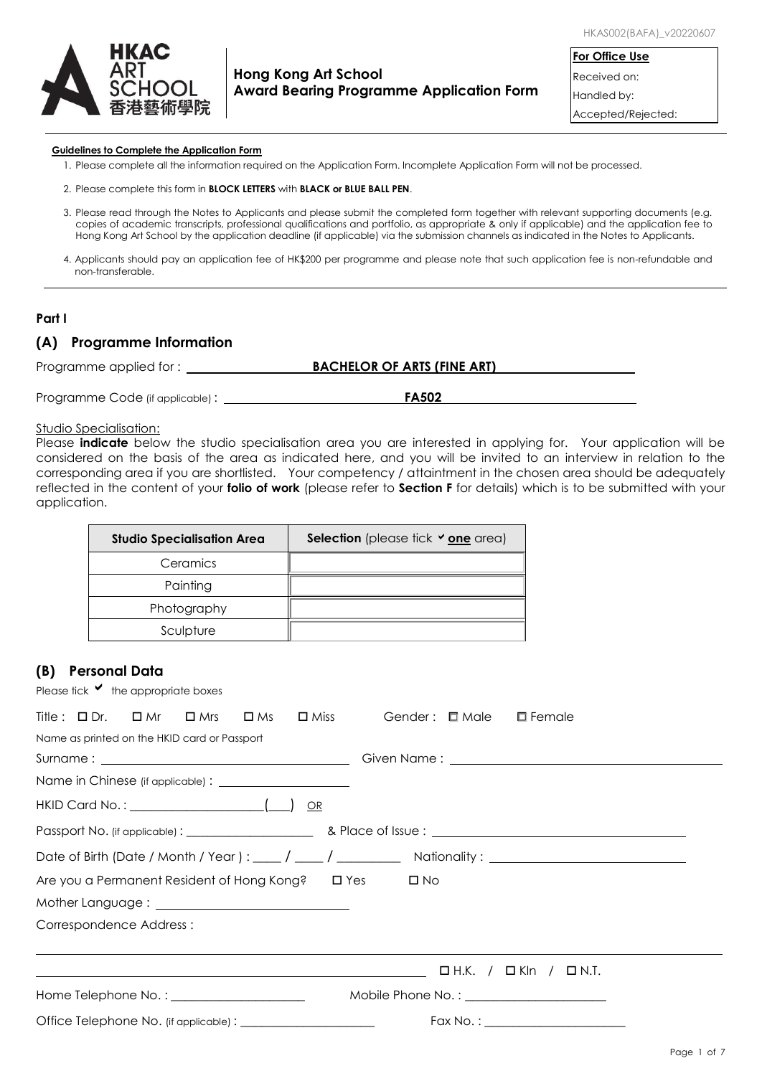

### **Hong Kong Art School Award Bearing Programme Application Form**

**For Office Use** Received on: Handled by:

Accepted/Rejected:

#### **Guidelines to Complete the Application Form**

- 1. Please complete all the information required on the Application Form. Incomplete Application Form will not be processed.
- 2. Please complete this form in **BLOCK LETTERS** with **BLACK or BLUE BALL PEN**.
- 3. Please read through the Notes to Applicants and please submit the completed form together with relevant supporting documents (e.g. copies of academic transcripts, professional qualifications and portfolio, as appropriate & only if applicable) and the application fee to Hong Kong Art School by the application deadline (if applicable) via the submission channels as indicated in the Notes to Applicants.
- 4. Applicants should pay an application fee of HK\$200 per programme and please note that such application fee is non-refundable and non-transferable.

#### **Part I**

### **(A) Programme Information**

| Programme applied for: | <b>BACHELOR OF ARTS (FINE ART)</b> |  |
|------------------------|------------------------------------|--|
|                        |                                    |  |

Programme Code (if applicable) : **FA502 FA502** 

#### Studio Specialisation:

Please **indicate** below the studio specialisation area you are interested in applying for. Your application will be considered on the basis of the area as indicated here, and you will be invited to an interview in relation to the corresponding area if you are shortlisted. Your competency / attaintment in the chosen area should be adequately reflected in the content of your **folio of work** (please refer to **Section F** for details) which is to be submitted with your application.

| <b>Studio Specialisation Area</b> | Selection (please tick $\vee$ one area) |
|-----------------------------------|-----------------------------------------|
| Ceramics                          |                                         |
| Painting                          |                                         |
| Photography                       |                                         |
| Sculpture                         |                                         |

### **(B) Personal Data**

Please tick  $\vee$  the appropriate boxes

| Title: $\square$ Dr. $\square$ Mr<br>$\square$ Miss<br>Gender: <b>D</b> Male<br>$\square$ Female<br>$\square$ Mrs<br>$\square$ Ms |
|-----------------------------------------------------------------------------------------------------------------------------------|
| Name as printed on the HKID card or Passport                                                                                      |
|                                                                                                                                   |
|                                                                                                                                   |
|                                                                                                                                   |
|                                                                                                                                   |
| Date of Birth (Date / Month / Year ) : $\frac{1}{\sqrt{2}}$ / $\frac{1}{\sqrt{2}}$ Nationality : $\frac{1}{\sqrt{2}}$             |
| Are you a Permanent Resident of Hong Kong? □ Yes<br>$\square$ No                                                                  |
|                                                                                                                                   |
| Correspondence Address:                                                                                                           |
| $\Box$ H.K. / $\Box$ Kln / $\Box$ N.T.<br><u> 1989 - Jan Samuel Barbara, margaret eta idazlea (h. 1989).</u>                      |
|                                                                                                                                   |
|                                                                                                                                   |
|                                                                                                                                   |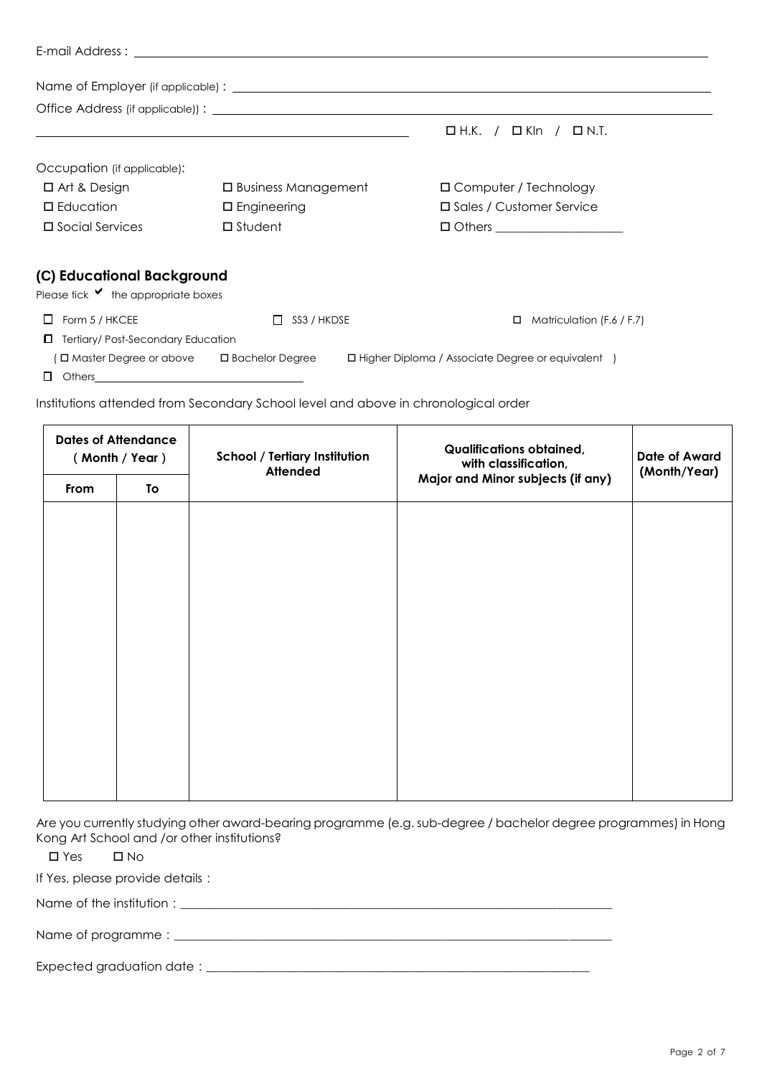|                                                      | <u> 1989 - Jan Samuel Barbara, margaret e a seu a componente de la componentación de la componentación de la compo</u> | $\Box$ H.K. / $\Box$ Kln /<br>$\Box$ N.T.           |
|------------------------------------------------------|------------------------------------------------------------------------------------------------------------------------|-----------------------------------------------------|
| Occupation (if applicable):                          |                                                                                                                        |                                                     |
| $\Box$ Art & Design                                  | $\square$ Business Management                                                                                          | □ Computer / Technology                             |
| $\Box$ Education                                     | $\square$ Engineering                                                                                                  | □ Sales / Customer Service                          |
| $\square$ Social Services                            | $\square$ Student                                                                                                      | $\Box$ Others ___________________                   |
| (C) Educational Background                           |                                                                                                                        |                                                     |
| Please tick $\vee$ the appropriate boxes             |                                                                                                                        |                                                     |
| $\Box$ Form 5 / HKCEE                                | SS3 / HKDSE<br>$\Box$                                                                                                  | Matriculation (F.6 / F.7)<br>□                      |
| Tertiary/Post-Secondary Education                    |                                                                                                                        |                                                     |
| $\Box$ Master Degree or above $\Box$ Bachelor Degree |                                                                                                                        | □ Higher Diploma / Associate Degree or equivalent ) |
| ш                                                    |                                                                                                                        |                                                     |

Institutions attended from Secondary School level and above in chronological order

|      | <b>Dates of Attendance</b><br>(Month / Year) | <b>School / Tertiary Institution</b><br><b>Attended</b> | <b>Qualifications obtained,</b><br>with classification, | <b>Date of Award</b><br>(Month/Year) |  |
|------|----------------------------------------------|---------------------------------------------------------|---------------------------------------------------------|--------------------------------------|--|
| From | To                                           |                                                         | Major and Minor subjects (if any)                       |                                      |  |
|      |                                              |                                                         |                                                         |                                      |  |
|      |                                              |                                                         |                                                         |                                      |  |
|      |                                              |                                                         |                                                         |                                      |  |
|      |                                              |                                                         |                                                         |                                      |  |
|      |                                              |                                                         |                                                         |                                      |  |
|      |                                              |                                                         |                                                         |                                      |  |
|      |                                              |                                                         |                                                         |                                      |  |
|      |                                              |                                                         |                                                         |                                      |  |
|      |                                              |                                                         |                                                         |                                      |  |
|      |                                              |                                                         |                                                         |                                      |  |
|      |                                              |                                                         |                                                         |                                      |  |

Are you currently studying other award-bearing programme (e.g. sub-degree / bachelor degree programmes) in Hong Kong Art School and /or other institutions?

Yes No

If Yes, please provide details:

Name of the institution:\_\_\_\_\_\_\_\_\_\_\_\_\_\_\_\_\_\_\_\_\_\_\_\_\_\_\_\_\_\_\_\_\_\_\_\_\_\_\_\_\_\_\_\_\_\_\_\_\_\_\_\_\_\_\_\_\_\_\_\_\_\_\_\_\_\_\_\_\_\_\_

Name of programme:\_\_\_\_\_\_\_\_\_\_\_\_\_\_\_\_\_\_\_\_\_\_\_\_\_\_\_\_\_\_\_\_\_\_\_\_\_\_\_\_\_\_\_\_\_\_\_\_\_\_\_\_\_\_\_\_\_\_\_\_\_\_\_\_\_\_\_\_\_\_\_\_

Expected graduation date:\_\_\_\_\_\_\_\_\_\_\_\_\_\_\_\_\_\_\_\_\_\_\_\_\_\_\_\_\_\_\_\_\_\_\_\_\_\_\_\_\_\_\_\_\_\_\_\_\_\_\_\_\_\_\_\_\_\_\_\_\_\_\_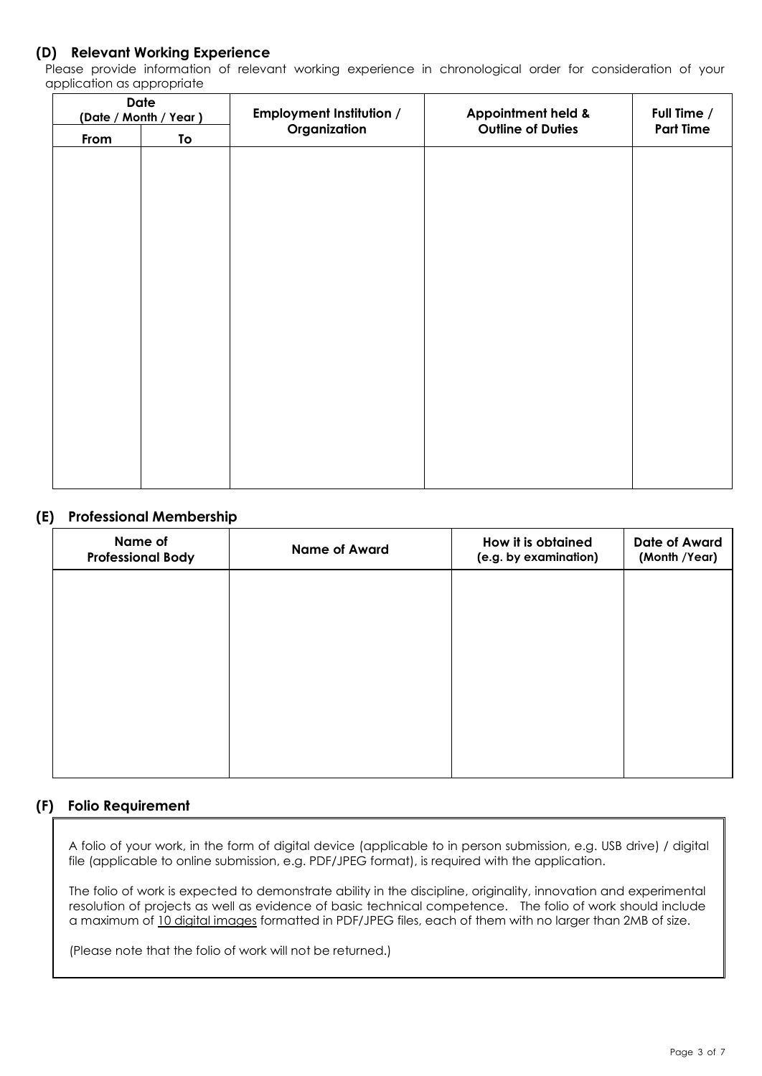# **(D) Relevant Working Experience**

Please provide information of relevant working experience in chronological order for consideration of your application as appropriate

|      | <b>Date</b><br>(Date / Month / Year) | <b>Employment Institution /</b> | Appointment held &       | Full Time /      |
|------|--------------------------------------|---------------------------------|--------------------------|------------------|
| From | To                                   | Organization                    | <b>Outline of Duties</b> | <b>Part Time</b> |
|      |                                      |                                 |                          |                  |
|      |                                      |                                 |                          |                  |
|      |                                      |                                 |                          |                  |
|      |                                      |                                 |                          |                  |
|      |                                      |                                 |                          |                  |
|      |                                      |                                 |                          |                  |
|      |                                      |                                 |                          |                  |
|      |                                      |                                 |                          |                  |
|      |                                      |                                 |                          |                  |
|      |                                      |                                 |                          |                  |
|      |                                      |                                 |                          |                  |
|      |                                      |                                 |                          |                  |
|      |                                      |                                 |                          |                  |
|      |                                      |                                 |                          |                  |
|      |                                      |                                 |                          |                  |
|      |                                      |                                 |                          |                  |

# **(E) Professional Membership**

| Name of<br><b>Professional Body</b> | <b>Name of Award</b> | How it is obtained<br>(e.g. by examination) | <b>Date of Award</b><br>(Month /Year) |
|-------------------------------------|----------------------|---------------------------------------------|---------------------------------------|
|                                     |                      |                                             |                                       |
|                                     |                      |                                             |                                       |
|                                     |                      |                                             |                                       |
|                                     |                      |                                             |                                       |
|                                     |                      |                                             |                                       |

# **(F) Folio Requirement**

A folio of your work, in the form of digital device (applicable to in person submission, e.g. USB drive) / digital file (applicable to online submission, e.g. PDF/JPEG format), is required with the application.

The folio of work is expected to demonstrate ability in the discipline, originality, innovation and experimental resolution of projects as well as evidence of basic technical competence. The folio of work should include a maximum of 10 digital images formatted in PDF/JPEG files, each of them with no larger than 2MB of size.

(Please note that the folio of work will not be returned.)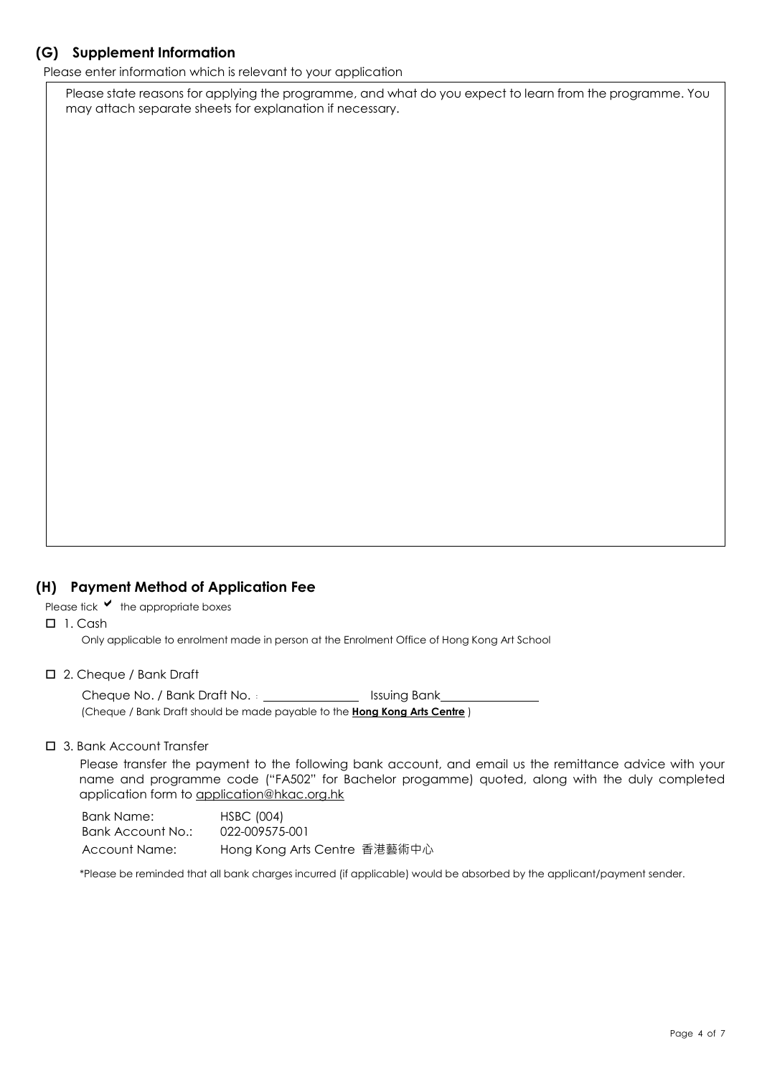# **(G) Supplement Information**

Please enter information which is relevant to your application

Please state reasons for applying the programme, and what do you expect to learn from the programme. You may attach separate sheets for explanation if necessary.

# **(H) Payment Method of Application Fee**

Please tick  $\blacktriangledown$  the appropriate boxes

 $\Box$  1. Cash

Only applicable to enrolment made in person at the Enrolment Office of Hong Kong Art School

#### 2. Cheque / Bank Draft

Cheque No. / Bank Draft No. : **INCO 1998** Issuing Bank (Cheque / Bank Draft should be made payable to the **Hong Kong Arts Centre** )

### □ 3. Bank Account Transfer

Please transfer the payment to the following bank account, and email us the remittance advice with your name and programme code ("FA502" for Bachelor progamme) quoted, along with the duly completed application form to application@hkac.org.hk

Bank Name: HSBC (004) Bank Account No.: 022-009575-001 Account Name: Hong Kong Arts Centre 香港藝術中心

\*Please be reminded that all bank charges incurred (if applicable) would be absorbed by the applicant/payment sender.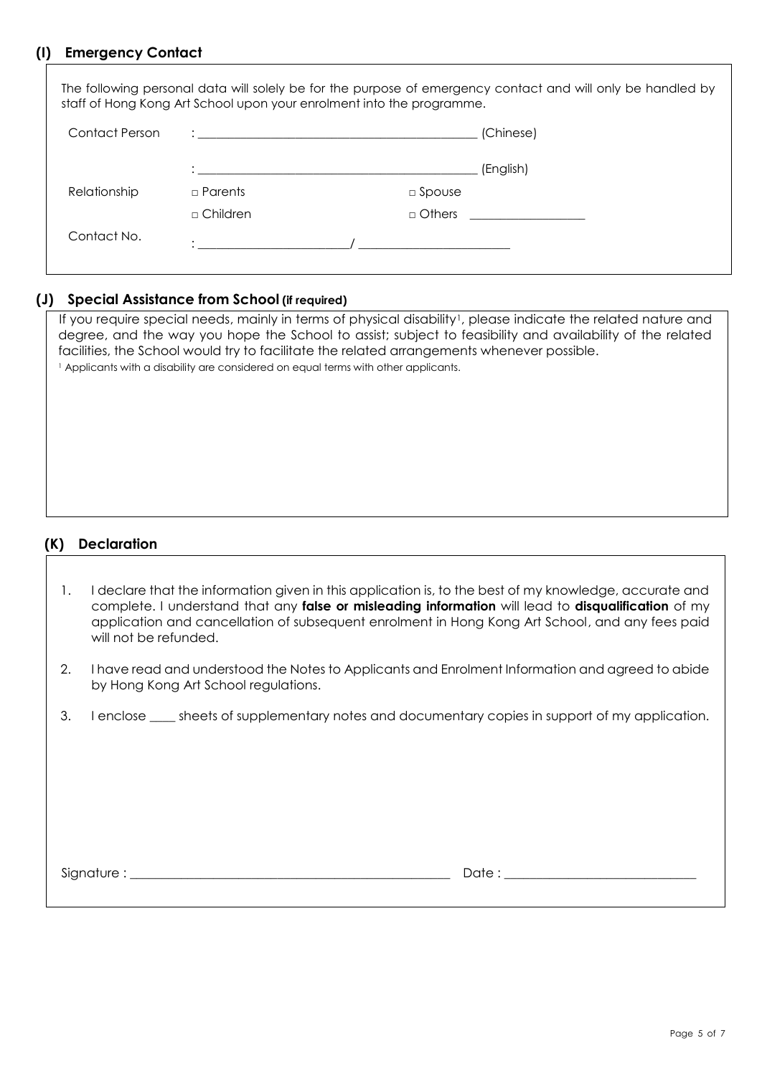# **(I) Emergency Contact**

|                | staff of Hong Kong Art School upon your enrolment into the programme. |               | The following personal data will solely be for the purpose of emergency contact and will only be handled by |
|----------------|-----------------------------------------------------------------------|---------------|-------------------------------------------------------------------------------------------------------------|
| Contact Person |                                                                       |               | (Chinese)                                                                                                   |
|                |                                                                       |               | (English)                                                                                                   |
| Relationship   | $\Box$ Parents                                                        | $\Box$ Spouse |                                                                                                             |
|                | $\sqcap$ Children                                                     | $\Box$ Others |                                                                                                             |
| Contact No.    |                                                                       |               |                                                                                                             |

## **(J) Special Assistance from School (if required)**

If you require special needs, mainly in terms of physical disability<sup>1</sup>, please indicate the related nature and degree, and the way you hope the School to assist; subject to feasibility and availability of the related facilities, the School would try to facilitate the related arrangements whenever possible. <sup>1</sup> Applicants with a disability are considered on equal terms with other applicants.

# **(K) Declaration**

- 1. I declare that the information given in this application is, to the best of my knowledge, accurate and complete. I understand that any **false or misleading information** will lead to **disqualification** of my application and cancellation of subsequent enrolment in Hong Kong Art School, and any fees paid will not be refunded.
- 2. I have read and understood the Notes to Applicants and Enrolment Information and agreed to abide by Hong Kong Art School regulations.
- 3. I enclose same sheets of supplementary notes and documentary copies in support of my application.

Signature : \_\_\_\_\_\_\_\_\_\_\_\_\_\_\_\_\_\_\_\_\_\_\_\_\_\_\_\_\_\_\_\_\_\_\_\_\_\_\_\_\_\_\_\_\_\_\_\_\_\_ Date : \_\_\_\_\_\_\_\_\_\_\_\_\_\_\_\_\_\_\_\_\_\_\_\_\_\_\_\_\_\_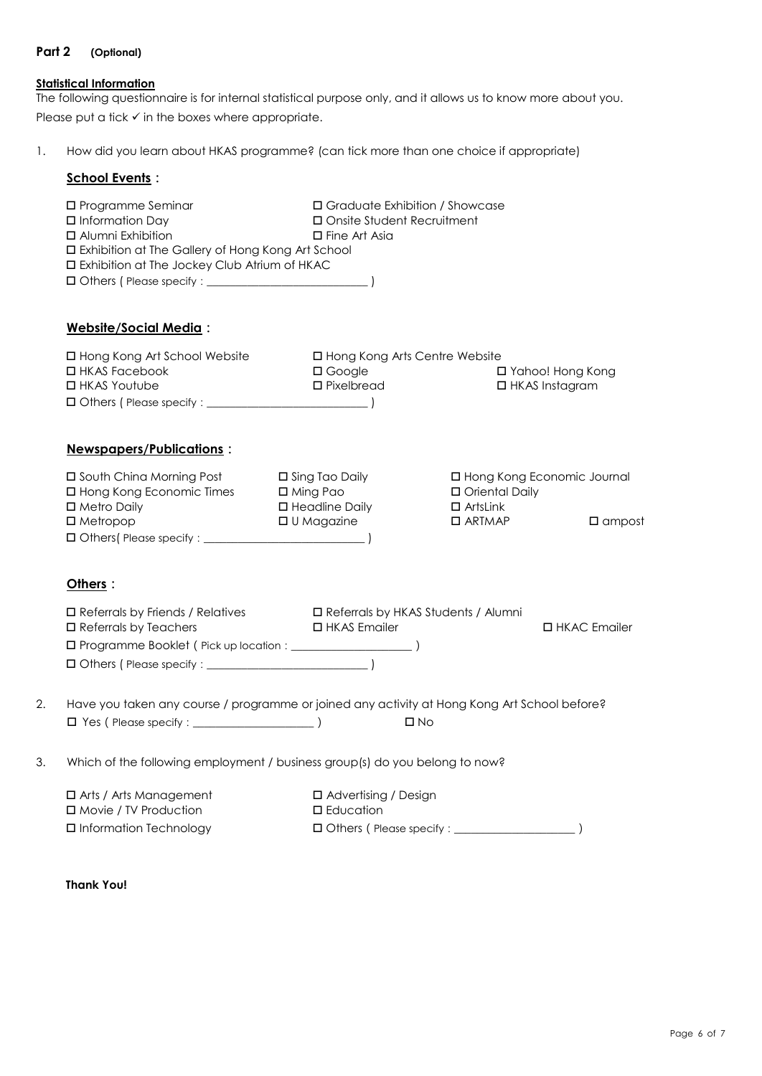## **Part 2 (Optional)**

# **Statistical Information**

The following questionnaire is for internal statistical purpose only, and it allows us to know more about you. Please put a tick  $\checkmark$  in the boxes where appropriate.

1. How did you learn about HKAS programme? (can tick more than one choice if appropriate)

## **School Events:**

|                                                                                   | □ Programme Seminar<br>$\square$ Information Day<br><b>D</b> Alumni Exhibition<br>□ Exhibition at The Gallery of Hong Kong Art School<br>□ Exhibition at The Jockey Club Atrium of HKAC | □ Graduate Exhibition / Showcase<br>□ Onsite Student Recruitment<br>$\Box$ Fine Art Asia |                                                      |                                                  |
|-----------------------------------------------------------------------------------|-----------------------------------------------------------------------------------------------------------------------------------------------------------------------------------------|------------------------------------------------------------------------------------------|------------------------------------------------------|--------------------------------------------------|
|                                                                                   | Website/Social Media:                                                                                                                                                                   |                                                                                          |                                                      |                                                  |
|                                                                                   | □ Hong Kong Art School Website<br>□ HKAS Facebook<br>□ HKAS Youtube                                                                                                                     | □ Hong Kong Arts Centre Website<br>□ Google<br>□ Pixelbread                              |                                                      | □ Yahoo! Hong Kong<br>$\Box$ HKAS Instagram      |
|                                                                                   | Newspapers/Publications:                                                                                                                                                                |                                                                                          |                                                      |                                                  |
|                                                                                   | □ South China Morning Post<br>□ Hong Kong Economic Times<br>□ Metro Daily<br>$\square$ Metropop                                                                                         | $\square$ Sing Tao Daily<br>$\square$ Ming Pao<br>□ Headline Daily<br>□ U Magazine       | □ Oriental Daily<br>$\Box$ ArtsLink<br>$\Box$ ARTMAP | □ Hong Kong Economic Journal<br>$\square$ ampost |
|                                                                                   | Others:                                                                                                                                                                                 |                                                                                          |                                                      |                                                  |
|                                                                                   | □ Referrals by Friends / Relatives □ Referrals by HKAS Students / Alumni<br>□ Referrals by Teachers                                                                                     | □ HKAS Emailer                                                                           |                                                      | □ HKAC Emailer                                   |
| 2.                                                                                | Have you taken any course / programme or joined any activity at Hong Kong Art School before?                                                                                            |                                                                                          | $\square$ No                                         |                                                  |
| 3.<br>Which of the following employment / business group(s) do you belong to now? |                                                                                                                                                                                         |                                                                                          |                                                      |                                                  |
|                                                                                   | $\Box$ Arts / Arts Management<br>□ Movie / TV Production<br>□ Information Technology                                                                                                    | □ Advertising / Design<br><b>D</b> Education                                             |                                                      |                                                  |
|                                                                                   |                                                                                                                                                                                         |                                                                                          |                                                      |                                                  |

**Thank You!**